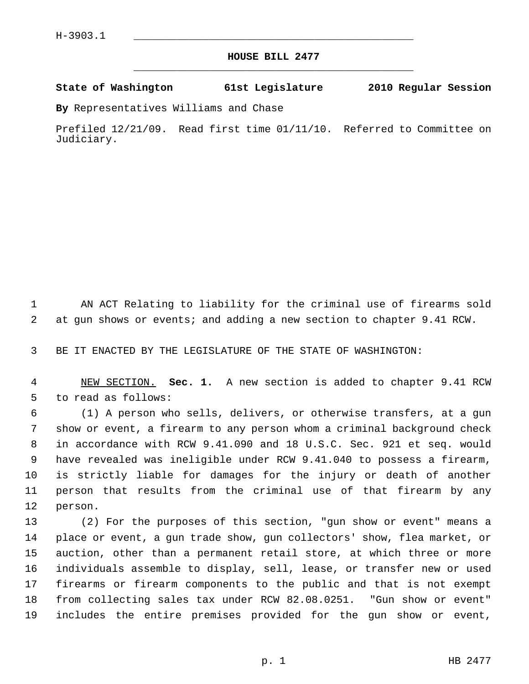## **HOUSE BILL 2477** \_\_\_\_\_\_\_\_\_\_\_\_\_\_\_\_\_\_\_\_\_\_\_\_\_\_\_\_\_\_\_\_\_\_\_\_\_\_\_\_\_\_\_\_\_

## **State of Washington 61st Legislature 2010 Regular Session**

**By** Representatives Williams and Chase

Prefiled 12/21/09. Read first time 01/11/10. Referred to Committee on Judiciary.

 1 AN ACT Relating to liability for the criminal use of firearms sold 2 at gun shows or events; and adding a new section to chapter 9.41 RCW.

3 BE IT ENACTED BY THE LEGISLATURE OF THE STATE OF WASHINGTON:

 4 NEW SECTION. **Sec. 1.** A new section is added to chapter 9.41 RCW 5 to read as follows:

 6 (1) A person who sells, delivers, or otherwise transfers, at a gun 7 show or event, a firearm to any person whom a criminal background check 8 in accordance with RCW 9.41.090 and 18 U.S.C. Sec. 921 et seq. would 9 have revealed was ineligible under RCW 9.41.040 to possess a firearm, 10 is strictly liable for damages for the injury or death of another 11 person that results from the criminal use of that firearm by any 12 person.

13 (2) For the purposes of this section, "gun show or event" means a 14 place or event, a gun trade show, gun collectors' show, flea market, or 15 auction, other than a permanent retail store, at which three or more 16 individuals assemble to display, sell, lease, or transfer new or used 17 firearms or firearm components to the public and that is not exempt 18 from collecting sales tax under RCW 82.08.0251. "Gun show or event" 19 includes the entire premises provided for the gun show or event,